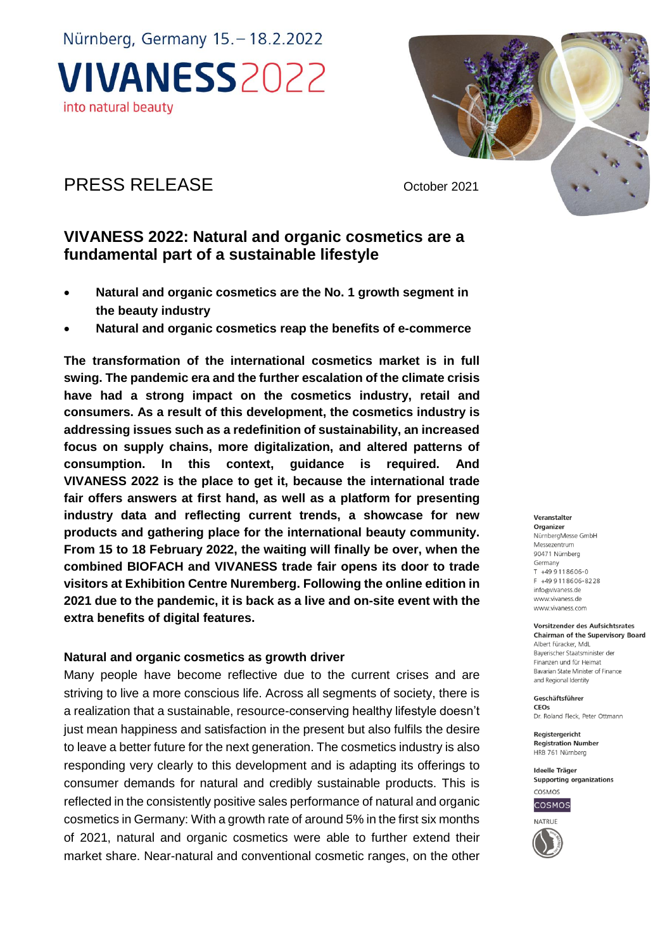# PRESS RELEASE October 2021

## **VIVANESS 2022: Natural and organic cosmetics are a fundamental part of a sustainable lifestyle**

- **Natural and organic cosmetics are the No. 1 growth segment in the beauty industry**
- **Natural and organic cosmetics reap the benefits of e-commerce**

**The transformation of the international cosmetics market is in full swing. The pandemic era and the further escalation of the climate crisis have had a strong impact on the cosmetics industry, retail and consumers. As a result of this development, the cosmetics industry is addressing issues such as a redefinition of sustainability, an increased focus on supply chains, more digitalization, and altered patterns of consumption. In this context, guidance is required. And VIVANESS 2022 is the place to get it, because the international trade fair offers answers at first hand, as well as a platform for presenting industry data and reflecting current trends, a showcase for new products and gathering place for the international beauty community. From 15 to 18 February 2022, the waiting will finally be over, when the combined BIOFACH and VIVANESS trade fair opens its door to trade visitors at Exhibition Centre Nuremberg. Following the online edition in 2021 due to the pandemic, it is back as a live and on-site event with the extra benefits of digital features.**

#### **Natural and organic cosmetics as growth driver**

Many people have become reflective due to the current crises and are striving to live a more conscious life. Across all segments of society, there is a realization that a sustainable, resource-conserving healthy lifestyle doesn't just mean happiness and satisfaction in the present but also fulfils the desire to leave a better future for the next generation. The cosmetics industry is also responding very clearly to this development and is adapting its offerings to consumer demands for natural and credibly sustainable products. This is reflected in the consistently positive sales performance of natural and organic cosmetics in Germany: With a growth rate of around 5% in the first six months of 2021, natural and organic cosmetics were able to further extend their market share. Near-natural and conventional cosmetic ranges, on the other

#### Veranstalter

Organizer NürnbergMesse GmbH Messezentrum 90471 Nürnberg Germany  $T + 499118606 - 0$ F +49 9 11 8 6 0 6 - 8 2 2 8 info@vivaness.de www.vivaness.de www.vivaness.com

#### **Vorsitzender des Aufsichtsrates**

**Chairman of the Supervisory Board** Albert Füracker, MdL Bayerischer Staatsminister der Finanzen und für Heimat Bavarian State Minister of Finance and Regional Identity

Geschäftsführer CEOs

Dr. Roland Fleck, Peter Ottmann

Registergericht Registration Number HRB 761 Nürnberg

Ideelle Träger Supporting organizations



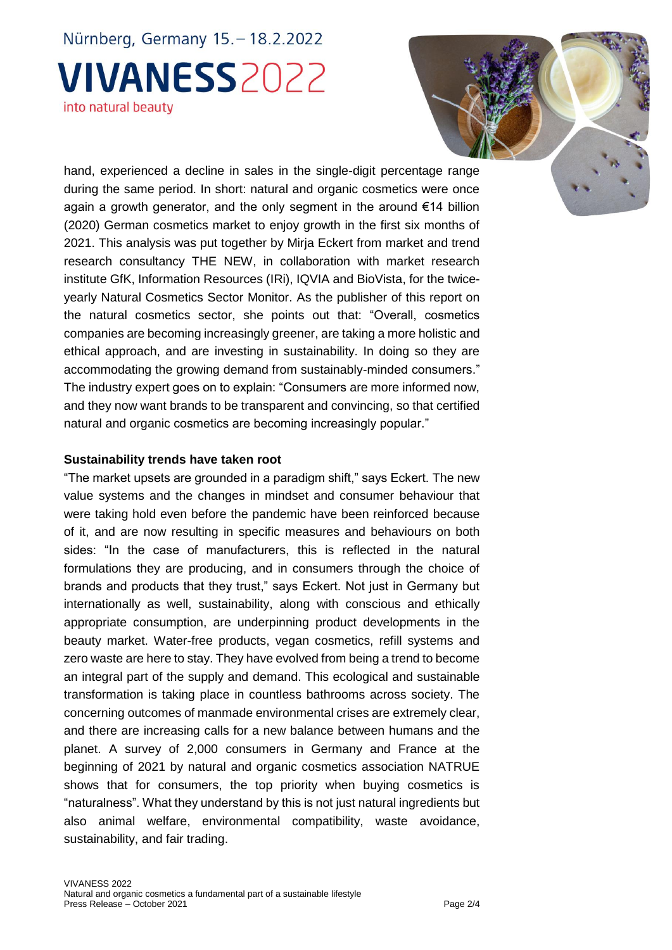hand, experienced a decline in sales in the single-digit percentage range during the same period. In short: natural and organic cosmetics were once again a growth generator, and the only segment in the around €14 billion (2020) German cosmetics market to enjoy growth in the first six months of 2021. This analysis was put together by Mirja Eckert from market and trend research consultancy THE NEW, in collaboration with market research institute GfK, Information Resources (IRi), IQVIA and BioVista, for the twiceyearly Natural Cosmetics Sector Monitor. As the publisher of this report on the natural cosmetics sector, she points out that: "Overall, cosmetics companies are becoming increasingly greener, are taking a more holistic and ethical approach, and are investing in sustainability. In doing so they are accommodating the growing demand from sustainably-minded consumers." The industry expert goes on to explain: "Consumers are more informed now, and they now want brands to be transparent and convincing, so that certified natural and organic cosmetics are becoming increasingly popular."

#### **Sustainability trends have taken root**

"The market upsets are grounded in a paradigm shift," says Eckert. The new value systems and the changes in mindset and consumer behaviour that were taking hold even before the pandemic have been reinforced because of it, and are now resulting in specific measures and behaviours on both sides: "In the case of manufacturers, this is reflected in the natural formulations they are producing, and in consumers through the choice of brands and products that they trust," says Eckert. Not just in Germany but internationally as well, sustainability, along with conscious and ethically appropriate consumption, are underpinning product developments in the beauty market. Water-free products, vegan cosmetics, refill systems and zero waste are here to stay. They have evolved from being a trend to become an integral part of the supply and demand. This ecological and sustainable transformation is taking place in countless bathrooms across society. The concerning outcomes of manmade environmental crises are extremely clear, and there are increasing calls for a new balance between humans and the planet. A survey of 2,000 consumers in Germany and France at the beginning of 2021 by natural and organic cosmetics association NATRUE shows that for consumers, the top priority when buying cosmetics is "naturalness". What they understand by this is not just natural ingredients but also animal welfare, environmental compatibility, waste avoidance, sustainability, and fair trading.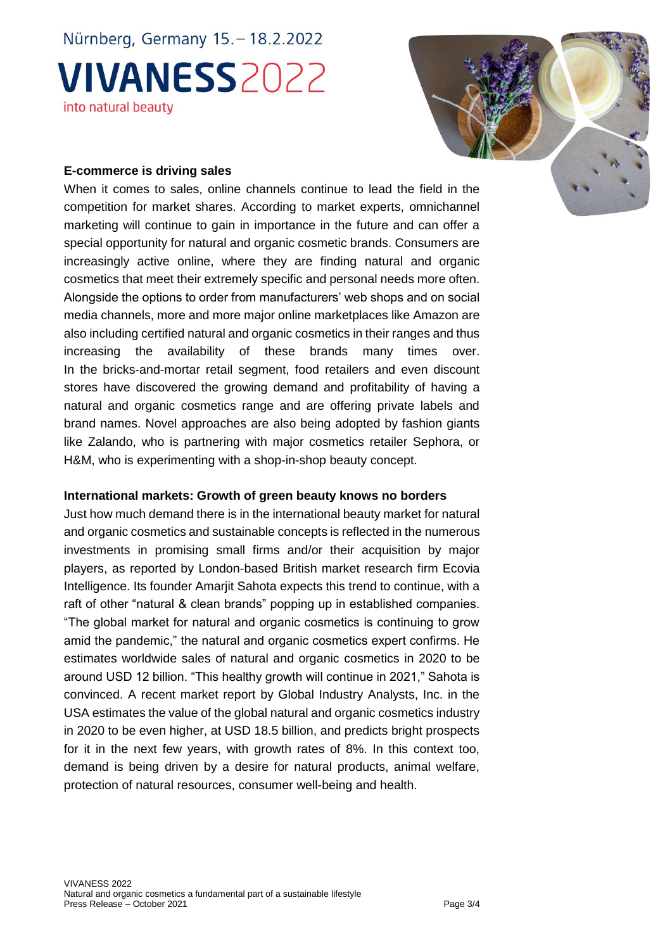

### **E-commerce is driving sales**

When it comes to sales, online channels continue to lead the field in the competition for market shares. According to market experts, omnichannel marketing will continue to gain in importance in the future and can offer a special opportunity for natural and organic cosmetic brands. Consumers are increasingly active online, where they are finding natural and organic cosmetics that meet their extremely specific and personal needs more often. Alongside the options to order from manufacturers' web shops and on social media channels, more and more major online marketplaces like Amazon are also including certified natural and organic cosmetics in their ranges and thus increasing the availability of these brands many times over. In the bricks-and-mortar retail segment, food retailers and even discount stores have discovered the growing demand and profitability of having a natural and organic cosmetics range and are offering private labels and brand names. Novel approaches are also being adopted by fashion giants like Zalando, who is partnering with major cosmetics retailer Sephora, or H&M, who is experimenting with a shop-in-shop beauty concept.

#### **International markets: Growth of green beauty knows no borders**

Just how much demand there is in the international beauty market for natural and organic cosmetics and sustainable concepts is reflected in the numerous investments in promising small firms and/or their acquisition by major players, as reported by London-based British market research firm Ecovia Intelligence. Its founder Amarjit Sahota expects this trend to continue, with a raft of other "natural & clean brands" popping up in established companies. "The global market for natural and organic cosmetics is continuing to grow amid the pandemic," the natural and organic cosmetics expert confirms. He estimates worldwide sales of natural and organic cosmetics in 2020 to be around USD 12 billion. "This healthy growth will continue in 2021," Sahota is convinced. A recent market report by Global Industry Analysts, Inc. in the USA estimates the value of the global natural and organic cosmetics industry in 2020 to be even higher, at USD 18.5 billion, and predicts bright prospects for it in the next few years, with growth rates of 8%. In this context too, demand is being driven by a desire for natural products, animal welfare, protection of natural resources, consumer well-being and health.